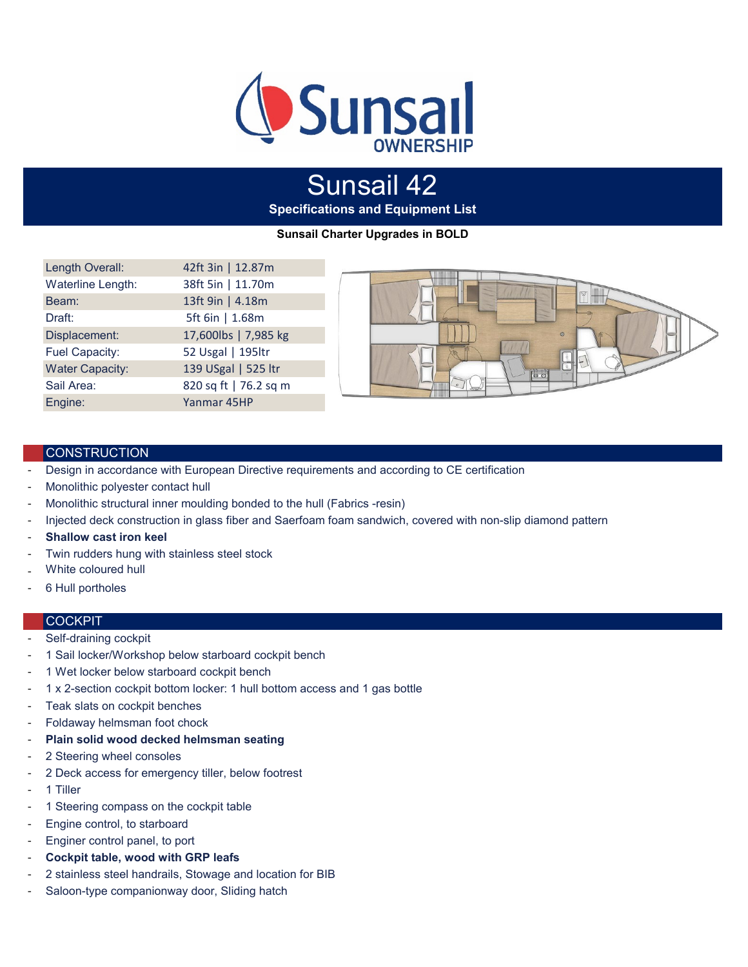

# **Specifications and Equipment List** Sunsail 42

**Sunsail Charter Upgrades in BOLD**

| Length Overall:        | 42ft 3in   12.87m     |
|------------------------|-----------------------|
| Waterline Length:      | 38ft 5in   11.70m     |
| Beam:                  | 13ft 9in   4.18m      |
| Draft:                 | 5ft 6in   1.68m       |
| Displacement:          | 17,600lbs   7,985 kg  |
| Fuel Capacity:         | 52 Usgal   195ltr     |
| <b>Water Capacity:</b> | 139 USgal   525 ltr   |
| Sail Area:             | 820 sq ft   76.2 sq m |
| Engine:                | Yanmar 45HP           |



## **CONSTRUCTION**

- Design in accordance with European Directive requirements and according to CE certification
- Monolithic polyester contact hull
- Monolithic structural inner moulding bonded to the hull (Fabrics -resin)
- Injected deck construction in glass fiber and Saerfoam foam sandwich, covered with non-slip diamond pattern
- **Shallow cast iron keel**
- Twin rudders hung with stainless steel stock
- White coloured hull
- 6 Hull portholes

#### **COCKPIT**

- Self-draining cockpit
- 1 Sail locker/Workshop below starboard cockpit bench
- 1 Wet locker below starboard cockpit bench
- 1 x 2-section cockpit bottom locker: 1 hull bottom access and 1 gas bottle
- Teak slats on cockpit benches
- Foldaway helmsman foot chock
- **Plain solid wood decked helmsman seating**
- 2 Steering wheel consoles
- 2 Deck access for emergency tiller, below footrest
- 1 Tiller
- 1 Steering compass on the cockpit table
- Engine control, to starboard
- Enginer control panel, to port
- **Cockpit table, wood with GRP leafs**
- 2 stainless steel handrails, Stowage and location for BIB
- Saloon-type companionway door, Sliding hatch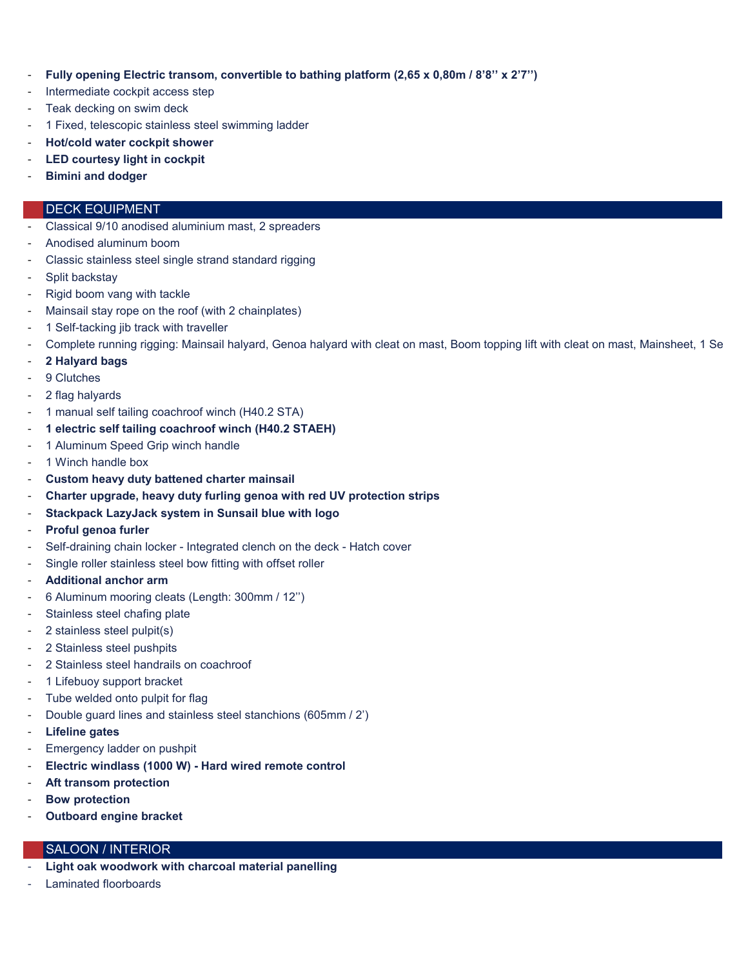- **Fully opening Electric transom, convertible to bathing platform (2,65 x 0,80m / 8'8'' x 2'7'')**
- Intermediate cockpit access step
- Teak decking on swim deck
- 1 Fixed, telescopic stainless steel swimming ladder
- **Hot/cold water cockpit shower**
- **LED courtesy light in cockpit**
- **Bimini and dodger**

## DECK EQUIPMENT

- Classical 9/10 anodised aluminium mast, 2 spreaders
- Anodised aluminum boom
- Classic stainless steel single strand standard rigging
- Split backstay
- Rigid boom vang with tackle
- Mainsail stay rope on the roof (with 2 chainplates)
- 1 Self-tacking jib track with traveller
- Complete running rigging: Mainsail halyard, Genoa halyard with cleat on mast, Boom topping lift with cleat on mast, Mainsheet, 1 Se
- **2 Halyard bags**
- 9 Clutches
- 2 flag halyards
- 1 manual self tailing coachroof winch (H40.2 STA)
- **1 electric self tailing coachroof winch (H40.2 STAEH)**
- 1 Aluminum Speed Grip winch handle
- 1 Winch handle box
- **Custom heavy duty battened charter mainsail**
- **Charter upgrade, heavy duty furling genoa with red UV protection strips**
- **Stackpack LazyJack system in Sunsail blue with logo**
- **Proful genoa furler**
- Self-draining chain locker Integrated clench on the deck Hatch cover
- Single roller stainless steel bow fitting with offset roller
- **Additional anchor arm**
- 6 Aluminum mooring cleats (Length: 300mm / 12'')
- Stainless steel chafing plate
- 2 stainless steel pulpit(s)
- 2 Stainless steel pushpits
- 2 Stainless steel handrails on coachroof
- 1 Lifebuoy support bracket
- Tube welded onto pulpit for flag
- Double guard lines and stainless steel stanchions (605mm / 2')
- **Lifeline gates**
- Emergency ladder on pushpit
- **Electric windlass (1000 W) Hard wired remote control**
- **Aft transom protection**
- **Bow protection**
- **Outboard engine bracket**

## SALOON / INTERIOR

- **Light oak woodwork with charcoal material panelling**
- Laminated floorboards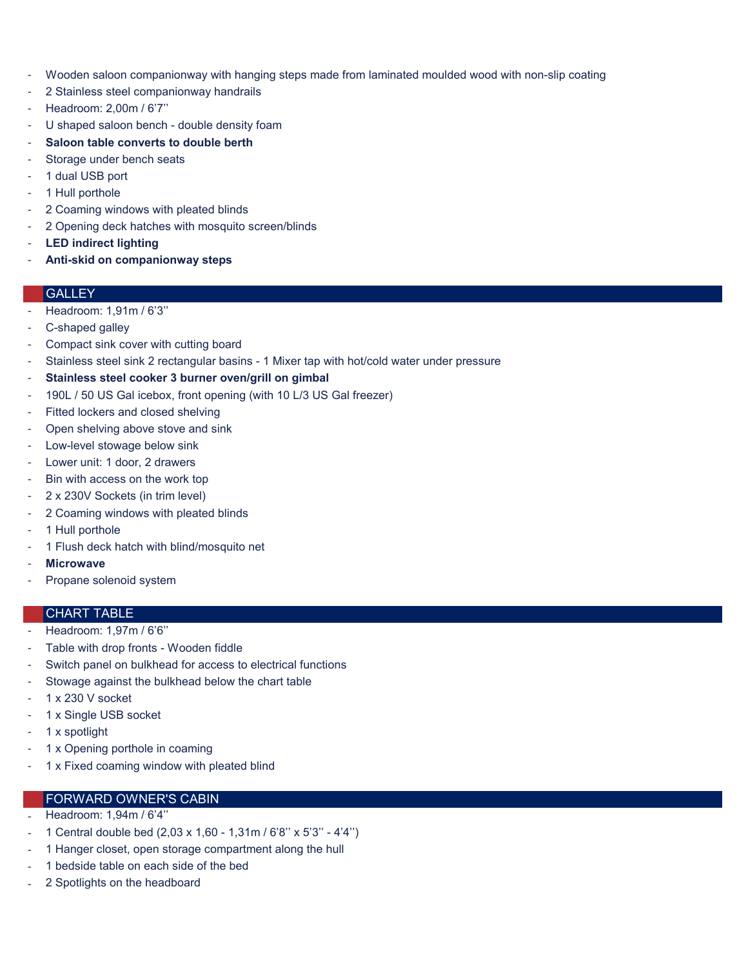- Wooden saloon companionway with hanging steps made from laminated moulded wood with non-slip coating
- 2 Stainless steel companionway handrails
- Headroom: 2,00m / 6'7''
- U shaped saloon bench double density foam
- **Saloon table converts to double berth**
- Storage under bench seats
- 1 dual USB port
- 1 Hull porthole
- 2 Coaming windows with pleated blinds
- 2 Opening deck hatches with mosquito screen/blinds
- **LED indirect lighting**
- **Anti-skid on companionway steps**

## **GALLEY**

- Headroom: 1,91m / 6'3"
- C-shaped galley
- Compact sink cover with cutting board
- Stainless steel sink 2 rectangular basins 1 Mixer tap with hot/cold water under pressure
- **Stainless steel cooker 3 burner oven/grill on gimbal**
- 190L / 50 US Gal icebox, front opening (with 10 L/3 US Gal freezer)
- Fitted lockers and closed shelving
- Open shelving above stove and sink
- Low-level stowage below sink
- Lower unit: 1 door, 2 drawers
- Bin with access on the work top
- 2 x 230V Sockets (in trim level)
- 2 Coaming windows with pleated blinds
- 1 Hull porthole
- 1 Flush deck hatch with blind/mosquito net
- **Microwave**
- Propane solenoid system

#### CHART TABLE

- Headroom: 1,97m / 6'6''
- Table with drop fronts Wooden fiddle
- Switch panel on bulkhead for access to electrical functions
- Stowage against the bulkhead below the chart table
- 1 x 230 V socket
- 1 x Single USB socket
- 1 x spotlight
- 1 x Opening porthole in coaming
- 1 x Fixed coaming window with pleated blind

# FORWARD OWNER'S CABIN

- Headroom: 1,94m / 6'4''
- 1 Central double bed (2,03 x 1,60 1,31m / 6'8'' x 5'3'' 4'4'')
- 1 Hanger closet, open storage compartment along the hull
- 1 bedside table on each side of the bed
- 2 Spotlights on the headboard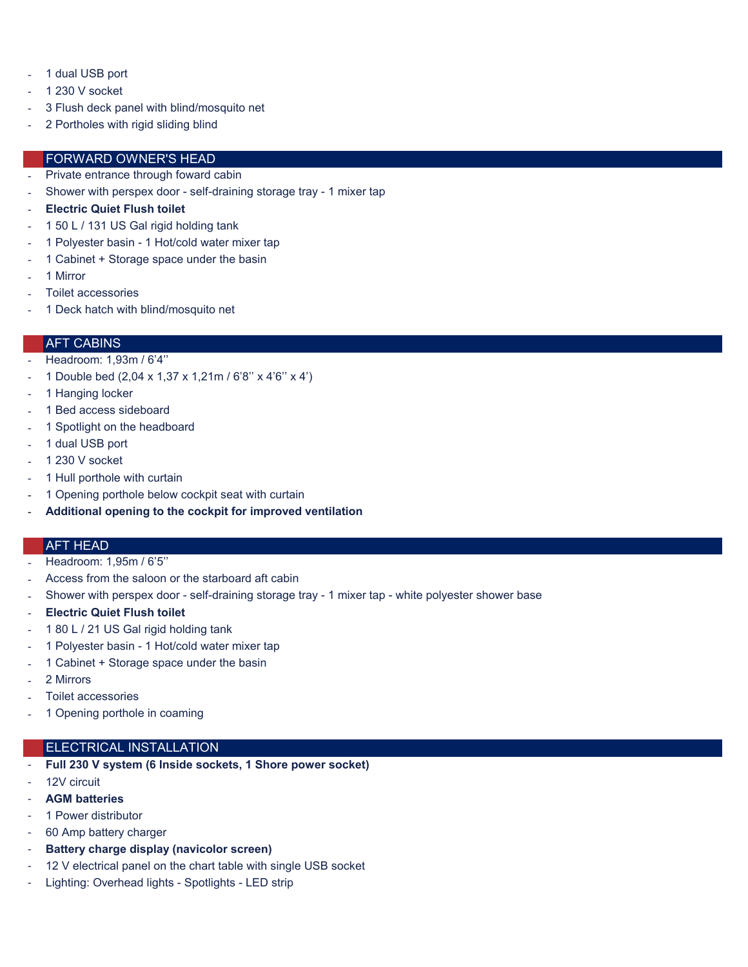- 1 dual USB port
- 1 230 V socket
- 3 Flush deck panel with blind/mosquito net
- 2 Portholes with rigid sliding blind

#### FORWARD OWNER'S HEAD

- Private entrance through foward cabin
- Shower with perspex door self-draining storage tray 1 mixer tap
- **Electric Quiet Flush toilet**
- 1 50 L / 131 US Gal rigid holding tank
- 1 Polyester basin 1 Hot/cold water mixer tap
- 1 Cabinet + Storage space under the basin
- 1 Mirror
- Toilet accessories
- 1 Deck hatch with blind/mosquito net

#### AFT CABINS

- Headroom: 1,93m / 6'4''
- 1 Double bed (2,04 x 1,37 x 1,21m / 6'8'' x 4'6'' x 4')
- 1 Hanging locker
- 1 Bed access sideboard
- 1 Spotlight on the headboard
- 1 dual USB port
- 1 230 V socket
- 1 Hull porthole with curtain
- 1 Opening porthole below cockpit seat with curtain
- **Additional opening to the cockpit for improved ventilation**

#### AFT HEAD

- Headroom: 1,95m / 6'5''
- Access from the saloon or the starboard aft cabin
- Shower with perspex door self-draining storage tray 1 mixer tap white polyester shower base
- **Electric Quiet Flush toilet**
- 1 80 L / 21 US Gal rigid holding tank
- 1 Polyester basin 1 Hot/cold water mixer tap
- 1 Cabinet + Storage space under the basin
- 2 Mirrors
- Toilet accessories
- 1 Opening porthole in coaming

#### ELECTRICAL INSTALLATION

- **Full 230 V system (6 Inside sockets, 1 Shore power socket)**
- 12V circuit
- **AGM batteries**
- 1 Power distributor
- 60 Amp battery charger
- Battery charge display (navicolor screen)
- 12 V electrical panel on the chart table with single USB socket
- Lighting: Overhead lights Spotlights LED strip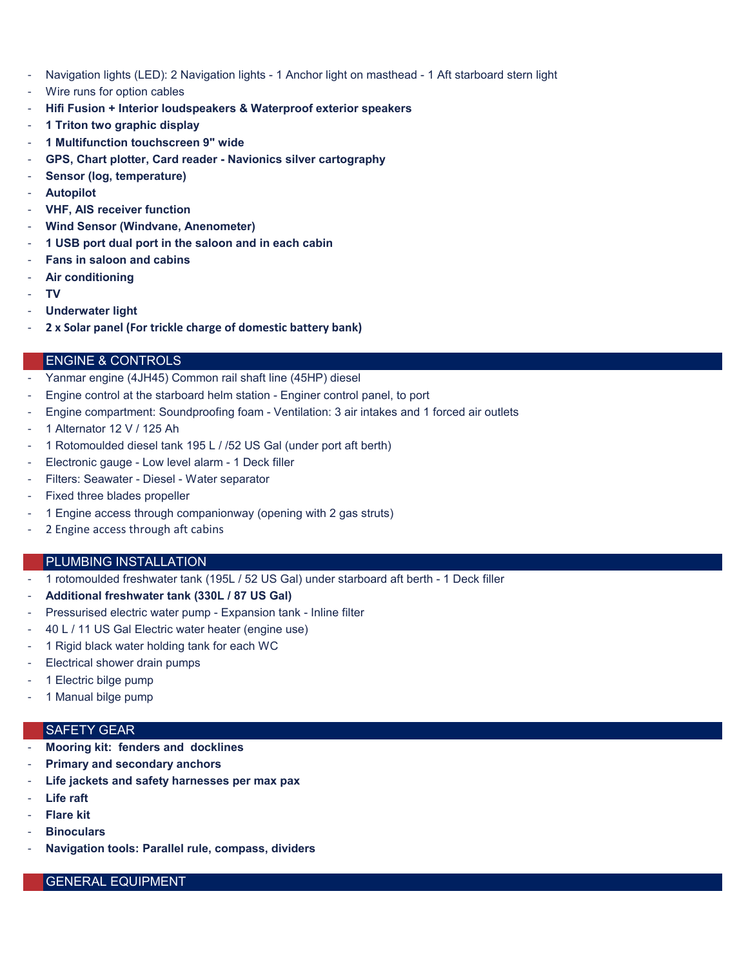- Navigation lights (LED): 2 Navigation lights 1 Anchor light on masthead 1 Aft starboard stern light
- Wire runs for option cables
- **Hifi Fusion + Interior loudspeakers & Waterproof exterior speakers**
- **1 Triton two graphic display**
- **1 Multifunction touchscreen 9" wide**
- **GPS, Chart plotter, Card reader Navionics silver cartography**
- **Sensor (log, temperature)**
- **Autopilot**
- **VHF, AIS receiver function**
- **Wind Sensor (Windvane, Anenometer)**
- **1 USB port dual port in the saloon and in each cabin**
- **Fans in saloon and cabins**
- **Air conditioning**
- **TV**
- **Underwater light**
- **2 x Solar panel (For trickle charge of domestic battery bank)**

## ENGINE & CONTROLS

- Yanmar engine (4JH45) Common rail shaft line (45HP) diesel
- Engine control at the starboard helm station Enginer control panel, to port
- Engine compartment: Soundproofing foam Ventilation: 3 air intakes and 1 forced air outlets
- 1 Alternator 12 V / 125 Ah
- 1 Rotomoulded diesel tank 195 L / /52 US Gal (under port aft berth)
- Electronic gauge Low level alarm 1 Deck filler
- Filters: Seawater Diesel Water separator
- Fixed three blades propeller
- 1 Engine access through companionway (opening with 2 gas struts)
- 2 Engine access through aft cabins

#### PLUMBING INSTALLATION

- 1 rotomoulded freshwater tank (195L / 52 US Gal) under starboard aft berth 1 Deck filler
- **Additional freshwater tank (330L / 87 US Gal)**
- Pressurised electric water pump Expansion tank Inline filter
- 40 L / 11 US Gal Electric water heater (engine use)
- 1 Rigid black water holding tank for each WC
- Electrical shower drain pumps
- 1 Electric bilge pump
- 1 Manual bilge pump

# SAFETY GEAR

- **Mooring kit: fenders and docklines**
- **Primary and secondary anchors**
- Life jackets and safety harnesses per max pax
- **Life raft**
- **Flare kit**
- **Binoculars**
- **Navigation tools: Parallel rule, compass, dividers**

## GENERAL EQUIPMENT